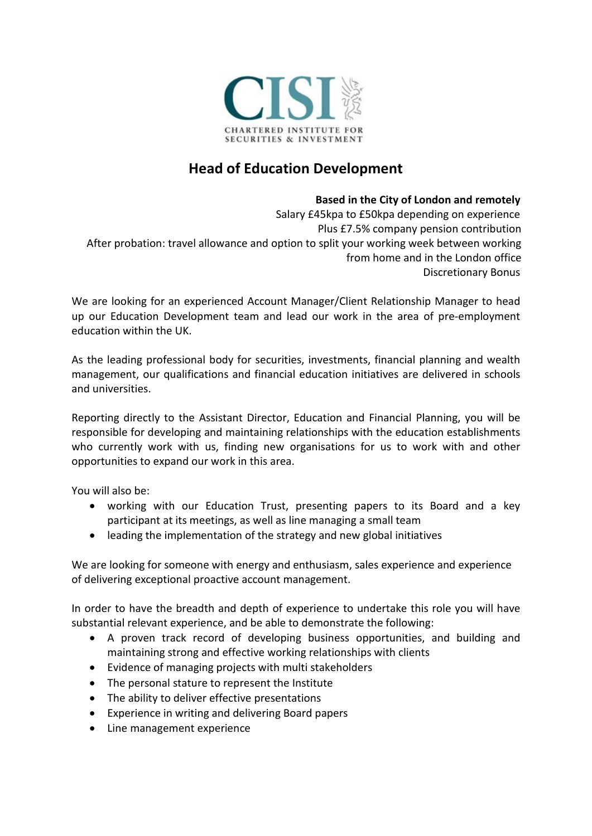

## **Head of Education Development**

## **Based in the City of London and remotely**

Salary £45kpa to £50kpa depending on experience Plus £7.5% company pension contribution After probation: travel allowance and option to split your working week between working from home and in the London office Discretionary Bonus

We are looking for an experienced Account Manager/Client Relationship Manager to head up our Education Development team and lead our work in the area of pre-employment education within the UK.

As the leading professional body for securities, investments, financial planning and wealth management, our qualifications and financial education initiatives are delivered in schools and universities.

Reporting directly to the Assistant Director, Education and Financial Planning, you will be responsible for developing and maintaining relationships with the education establishments who currently work with us, finding new organisations for us to work with and other opportunities to expand our work in this area.

You will also be:

- working with our Education Trust, presenting papers to its Board and a key participant at its meetings, as well as line managing a small team
- leading the implementation of the strategy and new global initiatives

We are looking for someone with energy and enthusiasm, sales experience and experience of delivering exceptional proactive account management.

In order to have the breadth and depth of experience to undertake this role you will have substantial relevant experience, and be able to demonstrate the following:

- A proven track record of developing business opportunities, and building and maintaining strong and effective working relationships with clients
- Evidence of managing projects with multi stakeholders
- The personal stature to represent the Institute
- The ability to deliver effective presentations
- Experience in writing and delivering Board papers
- Line management experience